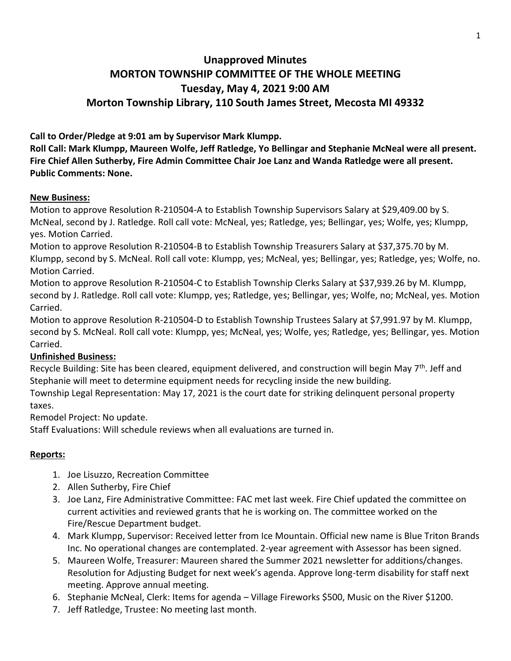# **Unapproved Minutes MORTON TOWNSHIP COMMITTEE OF THE WHOLE MEETING Tuesday, May 4, 2021 9:00 AM Morton Township Library, 110 South James Street, Mecosta MI 49332**

**Call to Order/Pledge at 9:01 am by Supervisor Mark Klumpp.** 

**Roll Call: Mark Klumpp, Maureen Wolfe, Jeff Ratledge, Yo Bellingar and Stephanie McNeal were all present. Fire Chief Allen Sutherby, Fire Admin Committee Chair Joe Lanz and Wanda Ratledge were all present. Public Comments: None.**

#### **New Business:**

Motion to approve Resolution R-210504-A to Establish Township Supervisors Salary at \$29,409.00 by S. McNeal, second by J. Ratledge. Roll call vote: McNeal, yes; Ratledge, yes; Bellingar, yes; Wolfe, yes; Klumpp, yes. Motion Carried.

Motion to approve Resolution R-210504-B to Establish Township Treasurers Salary at \$37,375.70 by M. Klumpp, second by S. McNeal. Roll call vote: Klumpp, yes; McNeal, yes; Bellingar, yes; Ratledge, yes; Wolfe, no. Motion Carried.

Motion to approve Resolution R-210504-C to Establish Township Clerks Salary at \$37,939.26 by M. Klumpp, second by J. Ratledge. Roll call vote: Klumpp, yes; Ratledge, yes; Bellingar, yes; Wolfe, no; McNeal, yes. Motion Carried.

Motion to approve Resolution R-210504-D to Establish Township Trustees Salary at \$7,991.97 by M. Klumpp, second by S. McNeal. Roll call vote: Klumpp, yes; McNeal, yes; Wolfe, yes; Ratledge, yes; Bellingar, yes. Motion Carried.

## **Unfinished Business:**

Recycle Building: Site has been cleared, equipment delivered, and construction will begin May 7<sup>th</sup>. Jeff and Stephanie will meet to determine equipment needs for recycling inside the new building.

Township Legal Representation: May 17, 2021 is the court date for striking delinquent personal property taxes.

Remodel Project: No update.

Staff Evaluations: Will schedule reviews when all evaluations are turned in.

## **Reports:**

- 1. Joe Lisuzzo, Recreation Committee
- 2. Allen Sutherby, Fire Chief
- 3. Joe Lanz, Fire Administrative Committee: FAC met last week. Fire Chief updated the committee on current activities and reviewed grants that he is working on. The committee worked on the Fire/Rescue Department budget.
- 4. Mark Klumpp, Supervisor: Received letter from Ice Mountain. Official new name is Blue Triton Brands Inc. No operational changes are contemplated. 2-year agreement with Assessor has been signed.
- 5. Maureen Wolfe, Treasurer: Maureen shared the Summer 2021 newsletter for additions/changes. Resolution for Adjusting Budget for next week's agenda. Approve long-term disability for staff next meeting. Approve annual meeting.
- 6. Stephanie McNeal, Clerk: Items for agenda Village Fireworks \$500, Music on the River \$1200.
- 7. Jeff Ratledge, Trustee: No meeting last month.